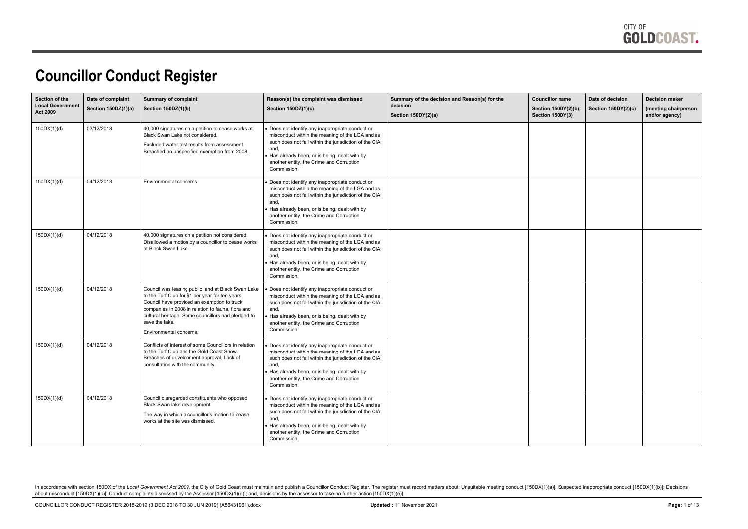

#### **Councillor Conduct Register**

| Section of the<br><b>Local Government</b><br><b>Act 2009</b> | Date of complaint<br>Section 150DZ(1)(a) | <b>Summary of complaint</b><br>Section 150DZ(1)(b)                                                                                                                                                                                                                                                            | Reason(s) the complaint was dismissed<br><b>Section 150DZ(1)(c)</b>                                                                                                                                                                                                            | Summary of the decision and Reason(s) for the<br>decision<br>Section 150DY(2)(a) | <b>Councillor name</b><br>Section 150DY(2)(b);<br>Section 150DY(3) | Date of decision<br>Section 150DY(2)(c) | <b>Decision maker</b><br>(meeting chairperson<br>and/or agency) |
|--------------------------------------------------------------|------------------------------------------|---------------------------------------------------------------------------------------------------------------------------------------------------------------------------------------------------------------------------------------------------------------------------------------------------------------|--------------------------------------------------------------------------------------------------------------------------------------------------------------------------------------------------------------------------------------------------------------------------------|----------------------------------------------------------------------------------|--------------------------------------------------------------------|-----------------------------------------|-----------------------------------------------------------------|
| 150DX(1)(d)                                                  | 03/12/2018                               | 40,000 signatures on a petition to cease works at<br>Black Swan Lake not considered.<br>Excluded water test results from assessment.<br>Breached an unspecified exemption from 2008.                                                                                                                          | Does not identify any inappropriate conduct or<br>misconduct within the meaning of the LGA and as<br>such does not fall within the jurisdiction of the OIA;<br>and,<br>Has already been, or is being, dealt with by<br>another entity, the Crime and Corruption<br>Commission. |                                                                                  |                                                                    |                                         |                                                                 |
| 150DX(1)(d)                                                  | 04/12/2018                               | <b>Environmental concerns</b>                                                                                                                                                                                                                                                                                 | Does not identify any inappropriate conduct or<br>misconduct within the meaning of the LGA and as<br>such does not fall within the jurisdiction of the OIA;<br>and,<br>Has already been, or is being, dealt with by<br>another entity, the Crime and Corruption<br>Commission. |                                                                                  |                                                                    |                                         |                                                                 |
| 150DX(1)(d)                                                  | 04/12/2018                               | 40,000 signatures on a petition not considered.<br>Disallowed a motion by a councillor to cease works<br>at Black Swan Lake.                                                                                                                                                                                  | Does not identify any inappropriate conduct or<br>misconduct within the meaning of the LGA and as<br>such does not fall within the jurisdiction of the OIA;<br>and,<br>Has already been, or is being, dealt with by<br>another entity, the Crime and Corruption<br>Commission. |                                                                                  |                                                                    |                                         |                                                                 |
| 150DX(1)(d)                                                  | 04/12/2018                               | Council was leasing public land at Black Swan Lake<br>to the Turf Club for \$1 per year for ten years.<br>Council have provided an exemption to truck<br>companies in 2008 in relation to fauna, flora and<br>cultural heritage. Some councillors had pledged to<br>save the lake.<br>Environmental concerns. | Does not identify any inappropriate conduct or<br>misconduct within the meaning of the LGA and as<br>such does not fall within the jurisdiction of the OIA;<br>and,<br>Has already been, or is being, dealt with by<br>another entity, the Crime and Corruption<br>Commission. |                                                                                  |                                                                    |                                         |                                                                 |
| 150DX(1)(d)                                                  | 04/12/2018                               | Conflicts of interest of some Councillors in relation<br>to the Turf Club and the Gold Coast Show.<br>Breaches of development approval. Lack of<br>consultation with the community.                                                                                                                           | Does not identify any inappropriate conduct or<br>misconduct within the meaning of the LGA and as<br>such does not fall within the jurisdiction of the OIA;<br>and,<br>Has already been, or is being, dealt with by<br>another entity, the Crime and Corruption<br>Commission. |                                                                                  |                                                                    |                                         |                                                                 |
| 150DX(1)(d)                                                  | 04/12/2018                               | Council disregarded constituents who opposed<br>Black Swan lake development.<br>The way in which a councillor's motion to cease<br>works at the site was dismissed.                                                                                                                                           | Does not identify any inappropriate conduct or<br>misconduct within the meaning of the LGA and as<br>such does not fall within the jurisdiction of the OIA;<br>and,<br>Has already been, or is being, dealt with by<br>another entity, the Crime and Corruption<br>Commission. |                                                                                  |                                                                    |                                         |                                                                 |

In accordance with section 150DX of the Local Government Act 2009, the City of Gold Coast must maintain and publish a Councillor Conduct Register. The register must record matters about: Unsuitable meeting conduct [150DX(1 about misconduct [150DX(1)(c)]; Conduct complaints dismissed by the Assessor [150DX(1)(d)]; and, decisions by the assessor to take no further action [150DX(1)(e)].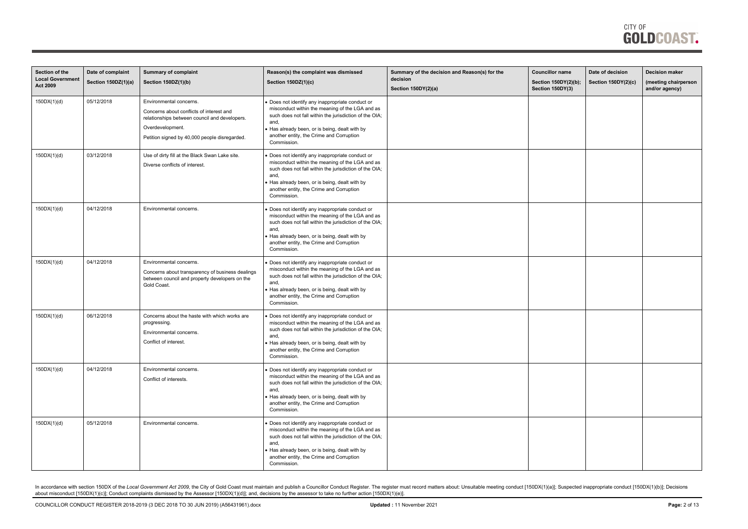| Section of the<br><b>Local Government</b> | Date of complaint   | <b>Summary of complaint</b>                                                                                                                                                               | Reason(s) the complaint was dismissed                                                                                                                                                                                                                                            | Summary of the decision and Reason(s) for the<br>decision | <b>Councillor name</b>                   | Date of decision    | <b>Decision maker</b>                  |
|-------------------------------------------|---------------------|-------------------------------------------------------------------------------------------------------------------------------------------------------------------------------------------|----------------------------------------------------------------------------------------------------------------------------------------------------------------------------------------------------------------------------------------------------------------------------------|-----------------------------------------------------------|------------------------------------------|---------------------|----------------------------------------|
| Act 2009                                  | Section 150DZ(1)(a) | Section 150DZ(1)(b)                                                                                                                                                                       | <b>Section 150DZ(1)(c)</b>                                                                                                                                                                                                                                                       | Section 150DY(2)(a)                                       | Section 150DY(2)(b);<br>Section 150DY(3) | Section 150DY(2)(c) | (meeting chairperson<br>and/or agency) |
| 150DX(1)(d)                               | 05/12/2018          | Environmental concerns.<br>Concerns about conflicts of interest and<br>relationships between council and developers.<br>Overdevelopment.<br>Petition signed by 40,000 people disregarded. | Does not identify any inappropriate conduct or<br>misconduct within the meaning of the LGA and as<br>such does not fall within the jurisdiction of the OIA;<br>and,<br>Has already been, or is being, dealt with by<br>another entity, the Crime and Corruption<br>Commission.   |                                                           |                                          |                     |                                        |
| 150DX(1)(d)                               | 03/12/2018          | Use of dirty fill at the Black Swan Lake site.<br>Diverse conflicts of interest.                                                                                                          | Does not identify any inappropriate conduct or<br>misconduct within the meaning of the LGA and as<br>such does not fall within the jurisdiction of the OIA;<br>and,<br>Has already been, or is being, dealt with by<br>another entity, the Crime and Corruption<br>Commission.   |                                                           |                                          |                     |                                        |
| 150DX(1)(d)                               | 04/12/2018          | Environmental concerns.                                                                                                                                                                   | Does not identify any inappropriate conduct or<br>misconduct within the meaning of the LGA and as<br>such does not fall within the jurisdiction of the OIA;<br>and,<br>Has already been, or is being, dealt with by<br>another entity, the Crime and Corruption<br>Commission.   |                                                           |                                          |                     |                                        |
| 150DX(1)(d)                               | 04/12/2018          | Environmental concerns.<br>Concerns about transparency of business dealings<br>between council and property developers on the<br>Gold Coast.                                              | Does not identify any inappropriate conduct or<br>misconduct within the meaning of the LGA and as<br>such does not fall within the jurisdiction of the OIA;<br>and,<br>Has already been, or is being, dealt with by<br>another entity, the Crime and Corruption<br>Commission.   |                                                           |                                          |                     |                                        |
| 150DX(1)(d)                               | 06/12/2018          | Concerns about the haste with which works are<br>progressing.<br>Environmental concerns.<br>Conflict of interest.                                                                         | Does not identify any inappropriate conduct or<br>misconduct within the meaning of the LGA and as<br>such does not fall within the jurisdiction of the OIA;<br>and,<br>• Has already been, or is being, dealt with by<br>another entity, the Crime and Corruption<br>Commission. |                                                           |                                          |                     |                                        |
| 150DX(1)(d)                               | 04/12/2018          | Environmental concerns.<br>Conflict of interests.                                                                                                                                         | Does not identify any inappropriate conduct or<br>misconduct within the meaning of the LGA and as<br>such does not fall within the jurisdiction of the OIA;<br>and,<br>Has already been, or is being, dealt with by<br>another entity, the Crime and Corruption<br>Commission.   |                                                           |                                          |                     |                                        |
| 150DX(1)(d)                               | 05/12/2018          | Environmental concerns.                                                                                                                                                                   | Does not identify any inappropriate conduct or<br>misconduct within the meaning of the LGA and as<br>such does not fall within the jurisdiction of the OIA;<br>and,<br>Has already been, or is being, dealt with by<br>another entity, the Crime and Corruption<br>Commission.   |                                                           |                                          |                     |                                        |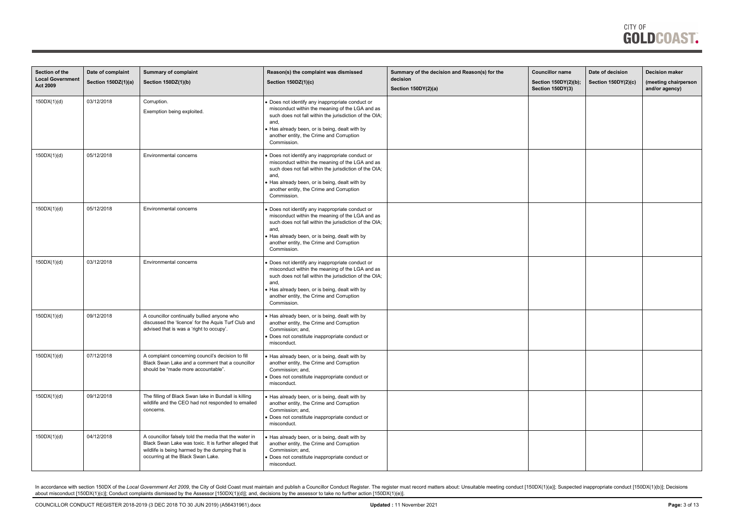| Section of the<br><b>Local Government</b><br><b>Act 2009</b> | Date of complaint<br>Section 150DZ(1)(a) | <b>Summary of complaint</b><br>Section 150DZ(1)(b)                                                                                                                                                     | Reason(s) the complaint was dismissed<br>Section 150DZ(1)(c)                                                                                                                                                                                                                   | Summary of the decision and Reason(s) for the<br>decision<br>Section 150DY(2)(a) | <b>Councillor name</b><br>Section 150DY(2)(b);<br>Section 150DY(3) | Date of decision<br><b>Section 150DY(2)(c)</b> | <b>Decision maker</b><br>(meeting chairperson<br>and/or agency) |
|--------------------------------------------------------------|------------------------------------------|--------------------------------------------------------------------------------------------------------------------------------------------------------------------------------------------------------|--------------------------------------------------------------------------------------------------------------------------------------------------------------------------------------------------------------------------------------------------------------------------------|----------------------------------------------------------------------------------|--------------------------------------------------------------------|------------------------------------------------|-----------------------------------------------------------------|
| 150DX(1)(d)                                                  | 03/12/2018                               | Corruption.<br>Exemption being exploited.                                                                                                                                                              | Does not identify any inappropriate conduct or<br>misconduct within the meaning of the LGA and as<br>such does not fall within the jurisdiction of the OIA;<br>and,<br>Has already been, or is being, dealt with by<br>another entity, the Crime and Corruption<br>Commission. |                                                                                  |                                                                    |                                                |                                                                 |
| 150DX(1)(d)                                                  | 05/12/2018                               | Environmental concerns                                                                                                                                                                                 | Does not identify any inappropriate conduct or<br>misconduct within the meaning of the LGA and as<br>such does not fall within the jurisdiction of the OIA;<br>and,<br>Has already been, or is being, dealt with by<br>another entity, the Crime and Corruption<br>Commission. |                                                                                  |                                                                    |                                                |                                                                 |
| 150DX(1)(d)                                                  | 05/12/2018                               | Environmental concerns                                                                                                                                                                                 | Does not identify any inappropriate conduct or<br>misconduct within the meaning of the LGA and as<br>such does not fall within the jurisdiction of the OIA;<br>and,<br>Has already been, or is being, dealt with by<br>another entity, the Crime and Corruption<br>Commission. |                                                                                  |                                                                    |                                                |                                                                 |
| 150DX(1)(d)                                                  | 03/12/2018                               | Environmental concerns                                                                                                                                                                                 | Does not identify any inappropriate conduct or<br>misconduct within the meaning of the LGA and as<br>such does not fall within the jurisdiction of the OIA;<br>and,<br>Has already been, or is being, dealt with by<br>another entity, the Crime and Corruption<br>Commission. |                                                                                  |                                                                    |                                                |                                                                 |
| 150DX(1)(d)                                                  | 09/12/2018                               | A councillor continually bullied anyone who<br>discussed the 'licence' for the Aquis Turf Club and<br>advised that is was a 'right to occupy'.                                                         | • Has already been, or is being, dealt with by<br>another entity, the Crime and Corruption<br>Commission; and,<br>Does not constitute inappropriate conduct or<br>misconduct.                                                                                                  |                                                                                  |                                                                    |                                                |                                                                 |
| 150DX(1)(d)                                                  | 07/12/2018                               | A complaint concerning council's decision to fill<br>Black Swan Lake and a comment that a councillor<br>should be "made more accountable".                                                             | Has already been, or is being, dealt with by<br>another entity, the Crime and Corruption<br>Commission; and,<br>Does not constitute inappropriate conduct or<br>misconduct.                                                                                                    |                                                                                  |                                                                    |                                                |                                                                 |
| 150DX(1)(d)                                                  | 09/12/2018                               | The filling of Black Swan lake in Bundall is killing<br>wildlife and the CEO had not responded to emailed<br>concerns.                                                                                 | Has already been, or is being, dealt with by<br>another entity, the Crime and Corruption<br>Commission; and,<br>Does not constitute inappropriate conduct or<br>misconduct.                                                                                                    |                                                                                  |                                                                    |                                                |                                                                 |
| 150DX(1)(d)                                                  | 04/12/2018                               | A councillor falsely told the media that the water in<br>Black Swan Lake was toxic. It is further alleged that<br>wildlife is being harmed by the dumping that is<br>occurring at the Black Swan Lake. | Has already been, or is being, dealt with by<br>another entity, the Crime and Corruption<br>Commission; and,<br>Does not constitute inappropriate conduct or<br>misconduct.                                                                                                    |                                                                                  |                                                                    |                                                |                                                                 |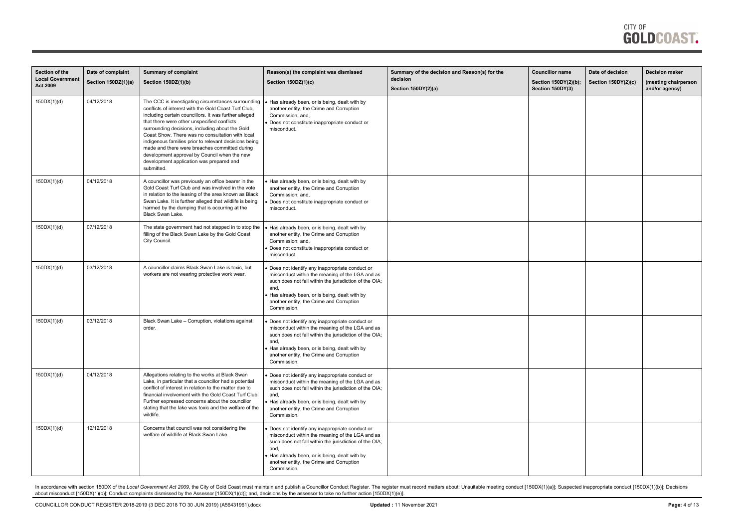

| Section of the<br><b>Local Governmen</b> | Date of complaint   | <b>Summary of complaint</b>                                                                                                                                                                                                                                                                                                                                                                                                                                                                                                                   | Reason(s) the complaint was dismissed                                                                                                                                                                                                                                            | Summary of the decision and Reason(s) for the<br>decision | <b>Councillor name</b>                   | Date of decision           | <b>Decision maker</b>                  |
|------------------------------------------|---------------------|-----------------------------------------------------------------------------------------------------------------------------------------------------------------------------------------------------------------------------------------------------------------------------------------------------------------------------------------------------------------------------------------------------------------------------------------------------------------------------------------------------------------------------------------------|----------------------------------------------------------------------------------------------------------------------------------------------------------------------------------------------------------------------------------------------------------------------------------|-----------------------------------------------------------|------------------------------------------|----------------------------|----------------------------------------|
| <b>Act 2009</b>                          | Section 150DZ(1)(a) | Section 150DZ(1)(b)                                                                                                                                                                                                                                                                                                                                                                                                                                                                                                                           | Section 150DZ(1)(c)                                                                                                                                                                                                                                                              | Section 150DY(2)(a)                                       | Section 150DY(2)(b);<br>Section 150DY(3) | <b>Section 150DY(2)(c)</b> | (meeting chairperson<br>and/or agency) |
| 150DX(1)(d)                              | 04/12/2018          | The CCC is investigating circumstances surrounding<br>conflicts of interest with the Gold Coast Turf Club,<br>including certain councillors. It was further alleged<br>that there were other unspecified conflicts<br>surrounding decisions, including about the Gold<br>Coast Show. There was no consultation with local<br>indigenous families prior to relevant decisions being<br>made and there were breaches committed during<br>development approval by Council when the new<br>development application was prepared and<br>submitted. | Has already been, or is being, dealt with by<br>another entity, the Crime and Corruption<br>Commission; and,<br>Does not constitute inappropriate conduct or<br>misconduct.                                                                                                      |                                                           |                                          |                            |                                        |
| 150DX(1)(d)                              | 04/12/2018          | A councillor was previously an office bearer in the<br>Gold Coast Turf Club and was involved in the vote<br>in relation to the leasing of the area known as Black<br>Swan Lake. It is further alleged that wildlife is being<br>harmed by the dumping that is occurring at the<br>Black Swan Lake.                                                                                                                                                                                                                                            | Has already been, or is being, dealt with by<br>another entity, the Crime and Corruption<br>Commission; and,<br>Does not constitute inappropriate conduct or<br>misconduct.                                                                                                      |                                                           |                                          |                            |                                        |
| 150DX(1)(d)                              | 07/12/2018          | The state government had not stepped in to stop the<br>filling of the Black Swan Lake by the Gold Coast<br>City Council.                                                                                                                                                                                                                                                                                                                                                                                                                      | Has already been, or is being, dealt with by<br>another entity, the Crime and Corruption<br>Commission; and,<br>Does not constitute inappropriate conduct or<br>misconduct.                                                                                                      |                                                           |                                          |                            |                                        |
| 150DX(1)(d)                              | 03/12/2018          | A councillor claims Black Swan Lake is toxic, but<br>workers are not wearing protective work wear.                                                                                                                                                                                                                                                                                                                                                                                                                                            | Does not identify any inappropriate conduct or<br>misconduct within the meaning of the LGA and as<br>such does not fall within the jurisdiction of the OIA;<br>and,<br>Has already been, or is being, dealt with by<br>another entity, the Crime and Corruption<br>Commission.   |                                                           |                                          |                            |                                        |
| 150DX(1)(d)                              | 03/12/2018          | Black Swan Lake - Corruption, violations against<br>order.                                                                                                                                                                                                                                                                                                                                                                                                                                                                                    | Does not identify any inappropriate conduct or<br>misconduct within the meaning of the LGA and as<br>such does not fall within the jurisdiction of the OIA;<br>and,<br>• Has already been, or is being, dealt with by<br>another entity, the Crime and Corruption<br>Commission. |                                                           |                                          |                            |                                        |
| 150DX(1)(d)                              | 04/12/2018          | Allegations relating to the works at Black Swan<br>Lake, in particular that a councillor had a potential<br>conflict of interest in relation to the matter due to<br>financial involvement with the Gold Coast Turf Club.<br>Further expressed concerns about the councillor<br>stating that the lake was toxic and the welfare of the<br>wildlife.                                                                                                                                                                                           | Does not identify any inappropriate conduct or<br>misconduct within the meaning of the LGA and as<br>such does not fall within the jurisdiction of the OIA;<br>and,<br>Has already been, or is being, dealt with by<br>another entity, the Crime and Corruption<br>Commission.   |                                                           |                                          |                            |                                        |
| 150DX(1)(d)                              | 12/12/2018          | Concerns that council was not considering the<br>welfare of wildlife at Black Swan Lake.                                                                                                                                                                                                                                                                                                                                                                                                                                                      | Does not identify any inappropriate conduct or<br>misconduct within the meaning of the LGA and as<br>such does not fall within the jurisdiction of the OIA;<br>and,<br>Has already been, or is being, dealt with by<br>another entity, the Crime and Corruption<br>Commission.   |                                                           |                                          |                            |                                        |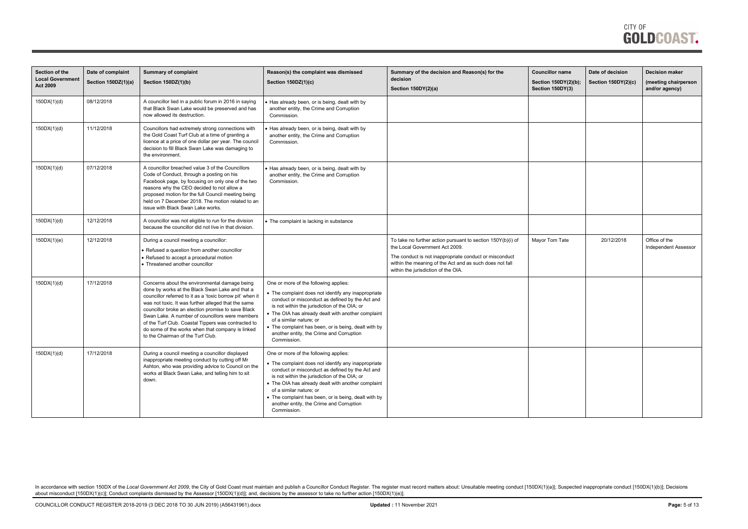| <b>Section of the</b><br><b>Local Government</b><br><b>Act 2009</b> | Date of complaint<br>Section 150DZ(1)(a) | <b>Summary of complaint</b><br>Section 150DZ(1)(b)                                                                                                                                                                                                                                                                                                                                                                                                                            | Reason(s) the complaint was dismissed<br>Section 150DZ(1)(c)                                                                                                                                                                                                                                                                                                                                         | Summary of the decision and Reason(s) for the<br>decision<br>Section 150DY(2)(a)                                                                                                                                                                          | <b>Councillor name</b><br>Section 150DY(2)(b);<br>Section 150DY(3) | Date of decision<br><b>Section 150DY(2)(c)</b> | <b>Decision maker</b><br>(meeting chairperson<br>and/or agency) |
|---------------------------------------------------------------------|------------------------------------------|-------------------------------------------------------------------------------------------------------------------------------------------------------------------------------------------------------------------------------------------------------------------------------------------------------------------------------------------------------------------------------------------------------------------------------------------------------------------------------|------------------------------------------------------------------------------------------------------------------------------------------------------------------------------------------------------------------------------------------------------------------------------------------------------------------------------------------------------------------------------------------------------|-----------------------------------------------------------------------------------------------------------------------------------------------------------------------------------------------------------------------------------------------------------|--------------------------------------------------------------------|------------------------------------------------|-----------------------------------------------------------------|
| 150DX(1)(d)                                                         | 08/12/2018                               | A councillor lied in a public forum in 2016 in saying<br>that Black Swan Lake would be preserved and has<br>now allowed its destruction.                                                                                                                                                                                                                                                                                                                                      | Has already been, or is being, dealt with by<br>another entity, the Crime and Corruption<br>Commission.                                                                                                                                                                                                                                                                                              |                                                                                                                                                                                                                                                           |                                                                    |                                                |                                                                 |
| 150DX(1)(d)                                                         | 11/12/2018                               | Councillors had extremely strong connections with<br>the Gold Coast Turf Club at a time of granting a<br>licence at a price of one dollar per year. The council<br>decision to fill Black Swan Lake was damaging to<br>the environment.                                                                                                                                                                                                                                       | Has already been, or is being, dealt with by<br>another entity, the Crime and Corruption<br>Commission.                                                                                                                                                                                                                                                                                              |                                                                                                                                                                                                                                                           |                                                                    |                                                |                                                                 |
| 150DX(1)(d)                                                         | 07/12/2018                               | A councillor breached value 3 of the Councillors<br>Code of Conduct, through a posting on his<br>Facebook page, by focusing on only one of the two<br>reasons why the CEO decided to not allow a<br>proposed motion for the full Council meeting being<br>held on 7 December 2018. The motion related to an<br>issue with Black Swan Lake works.                                                                                                                              | Has already been, or is being, dealt with by<br>another entity, the Crime and Corruption<br>Commission.                                                                                                                                                                                                                                                                                              |                                                                                                                                                                                                                                                           |                                                                    |                                                |                                                                 |
| 150DX(1)(d)                                                         | 12/12/2018                               | A councillor was not eligible to run for the division<br>because the councillor did not live in that division.                                                                                                                                                                                                                                                                                                                                                                | • The complaint is lacking in substance                                                                                                                                                                                                                                                                                                                                                              |                                                                                                                                                                                                                                                           |                                                                    |                                                |                                                                 |
| 150DX(1)(e)                                                         | 12/12/2018                               | During a council meeting a councillor:<br>Refused a question from another councillor<br>Refused to accept a procedural motion<br>Threatened another councillor                                                                                                                                                                                                                                                                                                                |                                                                                                                                                                                                                                                                                                                                                                                                      | To take no further action pursuant to section 150Y(b)(i) of<br>the Local Government Act 2009.<br>The conduct is not inappropriate conduct or misconduct<br>within the meaning of the Act and as such does not fall<br>within the jurisdiction of the OIA. | Mayor Tom Tate                                                     | 20/12/2018                                     | Office of the<br><b>Independent Assessor</b>                    |
| 150DX(1)(d)                                                         | 17/12/2018                               | Concerns about the environmental damage being<br>done by works at the Black Swan Lake and that a<br>councillor referred to it as a 'toxic borrow pit' when it<br>was not toxic. It was further alleged that the same<br>councillor broke an election promise to save Black<br>Swan Lake. A number of councillors were members<br>of the Turf Club. Coastal Tippers was contracted to<br>do some of the works when that company is linked<br>to the Chairman of the Turf Club. | One or more of the following applies:<br>• The complaint does not identify any inappropriate<br>conduct or misconduct as defined by the Act and<br>is not within the jurisdiction of the OIA; or<br>• The OIA has already dealt with another complaint<br>of a similar nature; or<br>• The complaint has been, or is being, dealt with by<br>another entity, the Crime and Corruption<br>Commission. |                                                                                                                                                                                                                                                           |                                                                    |                                                |                                                                 |
| 150DX(1)(d)                                                         | 17/12/2018                               | During a council meeting a councillor displayed<br>inappropriate meeting conduct by cutting off Mr<br>Ashton, who was providing advice to Council on the<br>works at Black Swan Lake, and telling him to sit<br>down.                                                                                                                                                                                                                                                         | One or more of the following applies:<br>• The complaint does not identify any inappropriate<br>conduct or misconduct as defined by the Act and<br>is not within the jurisdiction of the OIA; or<br>• The OIA has already dealt with another complaint<br>of a similar nature; or<br>• The complaint has been, or is being, dealt with by<br>another entity, the Crime and Corruption<br>Commission. |                                                                                                                                                                                                                                                           |                                                                    |                                                |                                                                 |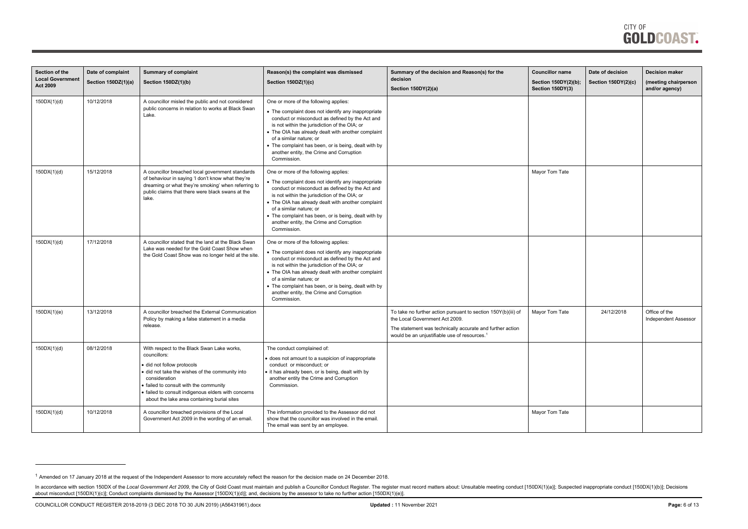COUNCILLOR CONDUCT REGISTER 2018-2019 (3 DEC 2018 TO 30 JUN 2019) (A56431961).docx **Updated :** 11 November 2021 **Page:** 6 of 13

<span id="page-5-0"></span>

| Section of the<br><b>Local Government</b><br><b>Act 2009</b> | Date of complaint<br>Section 150DZ(1)(a) | <b>Summary of complaint</b><br>Section 150DZ(1)(b)                                                                                                                                                                                                                                                   | Reason(s) the complaint was dismissed<br>Section 150DZ(1)(c)                                                                                                                                                                                                                                                                                                                                         | Summary of the decision and Reason(s) for the<br>decision<br>Section 150DY(2)(a)                                                                                                                                         | <b>Councillor name</b><br>Section 150DY(2)(b);<br>Section 150DY(3) | Date of decision<br><b>Section 150DY(2)(c)</b> | <b>Decision maker</b><br>(meeting chairperson<br>and/or agency) |
|--------------------------------------------------------------|------------------------------------------|------------------------------------------------------------------------------------------------------------------------------------------------------------------------------------------------------------------------------------------------------------------------------------------------------|------------------------------------------------------------------------------------------------------------------------------------------------------------------------------------------------------------------------------------------------------------------------------------------------------------------------------------------------------------------------------------------------------|--------------------------------------------------------------------------------------------------------------------------------------------------------------------------------------------------------------------------|--------------------------------------------------------------------|------------------------------------------------|-----------------------------------------------------------------|
| 150DX(1)(d)                                                  | 10/12/2018                               | A councillor misled the public and not considered<br>public concerns in relation to works at Black Swan<br>Lake.                                                                                                                                                                                     | One or more of the following applies:<br>• The complaint does not identify any inappropriate<br>conduct or misconduct as defined by the Act and<br>is not within the jurisdiction of the OIA; or<br>• The OIA has already dealt with another complaint<br>of a similar nature; or<br>• The complaint has been, or is being, dealt with by<br>another entity, the Crime and Corruption<br>Commission. |                                                                                                                                                                                                                          |                                                                    |                                                |                                                                 |
| 150DX(1)(d)                                                  | 15/12/2018                               | A councillor breached local government standards<br>of behaviour in saying 'I don't know what they're<br>dreaming or what they're smoking' when referring to<br>public claims that there were black swans at the<br>lake.                                                                            | One or more of the following applies:<br>• The complaint does not identify any inappropriate<br>conduct or misconduct as defined by the Act and<br>is not within the jurisdiction of the OIA; or<br>• The OIA has already dealt with another complaint<br>of a similar nature; or<br>• The complaint has been, or is being, dealt with by<br>another entity, the Crime and Corruption<br>Commission. |                                                                                                                                                                                                                          | Mayor Tom Tate                                                     |                                                |                                                                 |
| 150DX(1)(d)                                                  | 17/12/2018                               | A councillor stated that the land at the Black Swan<br>Lake was needed for the Gold Coast Show when<br>the Gold Coast Show was no longer held at the site.                                                                                                                                           | One or more of the following applies:<br>• The complaint does not identify any inappropriate<br>conduct or misconduct as defined by the Act and<br>is not within the jurisdiction of the OIA; or<br>• The OIA has already dealt with another complaint<br>of a similar nature; or<br>• The complaint has been, or is being, dealt with by<br>another entity, the Crime and Corruption<br>Commission. |                                                                                                                                                                                                                          |                                                                    |                                                |                                                                 |
| 150DX(1)(e)                                                  | 13/12/2018                               | A councillor breached the External Communication<br>Policy by making a false statement in a media<br>release.                                                                                                                                                                                        |                                                                                                                                                                                                                                                                                                                                                                                                      | To take no further action pursuant to section 150Y(b)(iii) of<br>the Local Government Act 2009.<br>The statement was technically accurate and further action<br>would be an unjustifiable use of resources. <sup>1</sup> | Mayor Tom Tate                                                     | 24/12/2018                                     | Office of the<br><b>Independent Assessor</b>                    |
| 150DX(1)(d)                                                  | 08/12/2018                               | With respect to the Black Swan Lake works,<br>councillors:<br>did not follow protocols<br>did not take the wishes of the community into<br>consideration<br>failed to consult with the community<br>failed to consult indigenous elders with concerns<br>about the lake area containing burial sites | The conduct complained of:<br>does not amount to a suspicion of inappropriate<br>conduct or misconduct; or<br>it has already been, or is being, dealt with by<br>another entity the Crime and Corruption<br>Commission.                                                                                                                                                                              |                                                                                                                                                                                                                          |                                                                    |                                                |                                                                 |
| 150DX(1)(d)                                                  | 10/12/2018                               | A councillor breached provisions of the Local<br>Government Act 2009 in the wording of an email.                                                                                                                                                                                                     | The information provided to the Assessor did not<br>show that the councillor was involved in the email.<br>The email was sent by an employee.                                                                                                                                                                                                                                                        |                                                                                                                                                                                                                          | Mayor Tom Tate                                                     |                                                |                                                                 |

<sup>&</sup>lt;sup>1</sup> Amended on 17 January 2018 at the request of the Independent Assessor to more accurately reflect the reason for the decision made on 24 December 2018.

In accordance with section 150DX of the Local Government Act 2009, the City of Gold Coast must maintain and publish a Councillor Conduct Register. The register must record matters about: Unsuitable meeting conduct [150DX(1 about misconduct [150DX(1)(c)]; Conduct complaints dismissed by the Assessor [150DX(1)(d)]; and, decisions by the assessor to take no further action [150DX(1)(e)].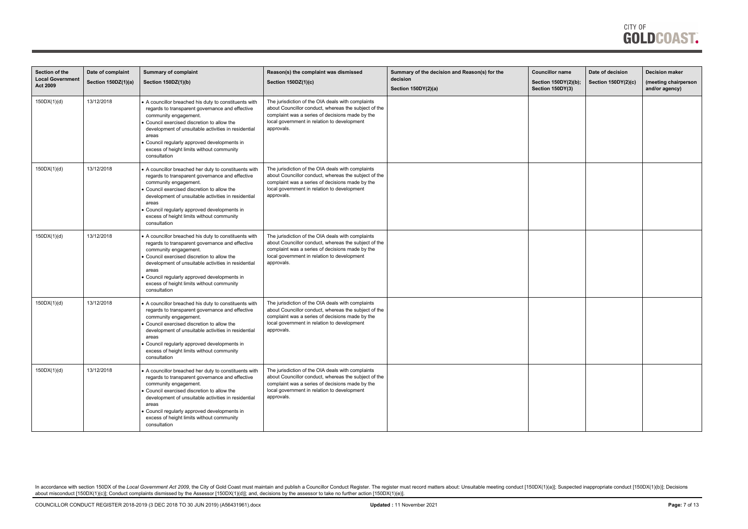| Section of the<br><b>Local Government</b> | Date of complaint<br>Section 150DZ(1)(a) | <b>Summary of complaint</b><br>Section 150DZ(1)(b)                                                                                                                                                                                                                                                                                                        | Reason(s) the complaint was dismissed<br>Section 150DZ(1)(c)                                                                                                                                                              | Summary of the decision and Reason(s) for the<br>decision | <b>Councillor name</b><br>Section 150DY(2)(b); | Date of decision<br>Section 150DY(2)(c) | <b>Decision maker</b><br>(meeting chairperson |
|-------------------------------------------|------------------------------------------|-----------------------------------------------------------------------------------------------------------------------------------------------------------------------------------------------------------------------------------------------------------------------------------------------------------------------------------------------------------|---------------------------------------------------------------------------------------------------------------------------------------------------------------------------------------------------------------------------|-----------------------------------------------------------|------------------------------------------------|-----------------------------------------|-----------------------------------------------|
| <b>Act 2009</b>                           |                                          |                                                                                                                                                                                                                                                                                                                                                           |                                                                                                                                                                                                                           | Section 150DY(2)(a)                                       | Section 150DY(3)                               |                                         | and/or agency)                                |
| 150DX(1)(d)                               | 13/12/2018                               | A councillor breached his duty to constituents with<br>regards to transparent governance and effective<br>community engagement.<br>Council exercised discretion to allow the<br>development of unsuitable activities in residential<br>areas<br>Council regularly approved developments in<br>excess of height limits without community<br>consultation   | The jurisdiction of the OIA deals with complaints<br>about Councillor conduct, whereas the subject of the<br>complaint was a series of decisions made by the<br>local government in relation to development<br>approvals. |                                                           |                                                |                                         |                                               |
| 150DX(1)(d)                               | 13/12/2018                               | A councillor breached her duty to constituents with<br>regards to transparent governance and effective<br>community engagement.<br>Council exercised discretion to allow the<br>development of unsuitable activities in residential<br>areas<br>Council regularly approved developments in<br>excess of height limits without community<br>consultation   | The jurisdiction of the OIA deals with complaints<br>about Councillor conduct, whereas the subject of the<br>complaint was a series of decisions made by the<br>local government in relation to development<br>approvals. |                                                           |                                                |                                         |                                               |
| 150DX(1)(d)                               | 13/12/2018                               | A councillor breached his duty to constituents with<br>regards to transparent governance and effective<br>community engagement.<br>Council exercised discretion to allow the<br>development of unsuitable activities in residential<br>areas<br>Council regularly approved developments in<br>excess of height limits without community<br>consultation   | The jurisdiction of the OIA deals with complaints<br>about Councillor conduct, whereas the subject of the<br>complaint was a series of decisions made by the<br>local government in relation to development<br>approvals. |                                                           |                                                |                                         |                                               |
| 150DX(1)(d)                               | 13/12/2018                               | A councillor breached his duty to constituents with<br>regards to transparent governance and effective<br>community engagement.<br>Council exercised discretion to allow the<br>development of unsuitable activities in residential<br>areas<br>• Council regularly approved developments in<br>excess of height limits without community<br>consultation | The jurisdiction of the OIA deals with complaints<br>about Councillor conduct, whereas the subject of the<br>complaint was a series of decisions made by the<br>local government in relation to development<br>approvals. |                                                           |                                                |                                         |                                               |
| 150DX(1)(d)                               | 13/12/2018                               | • A councillor breached her duty to constituents with<br>regards to transparent governance and effective<br>community engagement.<br>Council exercised discretion to allow the<br>development of unsuitable activities in residential<br>areas<br>Council regularly approved developments in<br>excess of height limits without community<br>consultation | The jurisdiction of the OIA deals with complaints<br>about Councillor conduct, whereas the subject of the<br>complaint was a series of decisions made by the<br>local government in relation to development<br>approvals. |                                                           |                                                |                                         |                                               |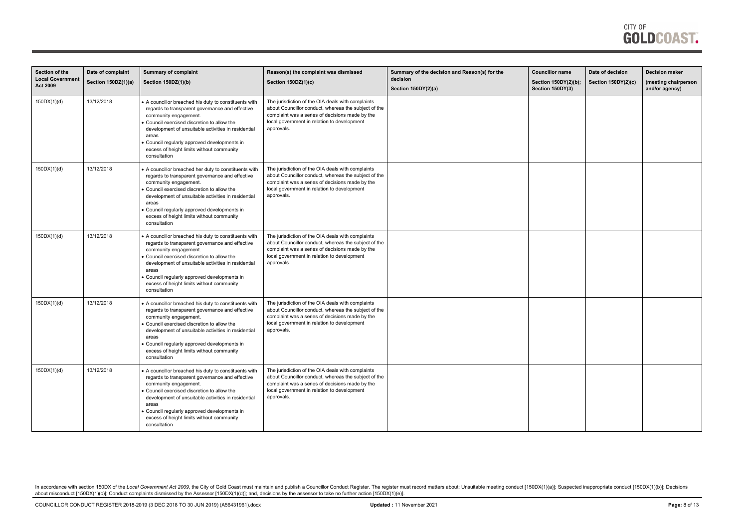| Section of the<br><b>Local Government</b><br><b>Act 2009</b> | Date of complaint<br>Section 150DZ(1)(a) | <b>Summary of complaint</b><br>Section 150DZ(1)(b)                                                                                                                                                                                                                                                                                                        | Reason(s) the complaint was dismissed<br>Section 150DZ(1)(c)                                                                                                                                                              | Summary of the decision and Reason(s) for the<br>decision | <b>Councillor name</b><br>Section 150DY(2)(b); | Date of decision<br>Section 150DY(2)(c) | <b>Decision maker</b><br>(meeting chairperson |
|--------------------------------------------------------------|------------------------------------------|-----------------------------------------------------------------------------------------------------------------------------------------------------------------------------------------------------------------------------------------------------------------------------------------------------------------------------------------------------------|---------------------------------------------------------------------------------------------------------------------------------------------------------------------------------------------------------------------------|-----------------------------------------------------------|------------------------------------------------|-----------------------------------------|-----------------------------------------------|
|                                                              |                                          |                                                                                                                                                                                                                                                                                                                                                           |                                                                                                                                                                                                                           | Section 150DY(2)(a)                                       | Section 150DY(3)                               |                                         | and/or agency)                                |
| 150DX(1)(d)                                                  | 13/12/2018                               | A councillor breached his duty to constituents with<br>regards to transparent governance and effective<br>community engagement.<br>Council exercised discretion to allow the<br>development of unsuitable activities in residential<br>areas<br>Council regularly approved developments in<br>excess of height limits without community<br>consultation   | The jurisdiction of the OIA deals with complaints<br>about Councillor conduct, whereas the subject of the<br>complaint was a series of decisions made by the<br>local government in relation to development<br>approvals. |                                                           |                                                |                                         |                                               |
| 150DX(1)(d)                                                  | 13/12/2018                               | A councillor breached her duty to constituents with<br>regards to transparent governance and effective<br>community engagement.<br>Council exercised discretion to allow the<br>development of unsuitable activities in residential<br>areas<br>Council regularly approved developments in<br>excess of height limits without community<br>consultation   | The jurisdiction of the OIA deals with complaints<br>about Councillor conduct, whereas the subject of the<br>complaint was a series of decisions made by the<br>local government in relation to development<br>approvals. |                                                           |                                                |                                         |                                               |
| 150DX(1)(d)                                                  | 13/12/2018                               | A councillor breached his duty to constituents with<br>regards to transparent governance and effective<br>community engagement.<br>Council exercised discretion to allow the<br>development of unsuitable activities in residential<br>areas<br>Council regularly approved developments in<br>excess of height limits without community<br>consultation   | The jurisdiction of the OIA deals with complaints<br>about Councillor conduct, whereas the subject of the<br>complaint was a series of decisions made by the<br>local government in relation to development<br>approvals. |                                                           |                                                |                                         |                                               |
| 150DX(1)(d)                                                  | 13/12/2018                               | A councillor breached his duty to constituents with<br>regards to transparent governance and effective<br>community engagement.<br>Council exercised discretion to allow the<br>development of unsuitable activities in residential<br>areas<br>• Council regularly approved developments in<br>excess of height limits without community<br>consultation | The jurisdiction of the OIA deals with complaints<br>about Councillor conduct, whereas the subject of the<br>complaint was a series of decisions made by the<br>local government in relation to development<br>approvals. |                                                           |                                                |                                         |                                               |
| 150DX(1)(d)                                                  | 13/12/2018                               | • A councillor breached his duty to constituents with<br>regards to transparent governance and effective<br>community engagement.<br>Council exercised discretion to allow the<br>development of unsuitable activities in residential<br>areas<br>Council regularly approved developments in<br>excess of height limits without community<br>consultation | The jurisdiction of the OIA deals with complaints<br>about Councillor conduct, whereas the subject of the<br>complaint was a series of decisions made by the<br>local government in relation to development<br>approvals. |                                                           |                                                |                                         |                                               |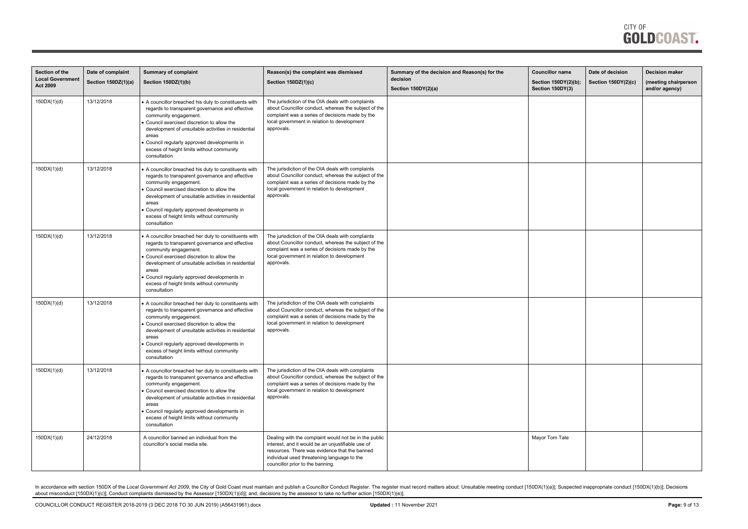

| Section of the<br><b>Local Government</b><br><b>Act 2009</b> | Date of complaint<br>Section 150DZ(1)(a) | <b>Summary of complaint</b><br>Section 150DZ(1)(b)                                                                                                                                                                                                                                                                                                          | Reason(s) the complaint was dismissed<br>Section 150DZ(1)(c)                                                                                                                                                                                   | Summary of the decision and Reason(s) for the<br>decision<br>Section 150DY(2)(a) | <b>Councillor name</b><br>Section 150DY(2)(b);<br>Section 150DY(3) | Date of decision<br>Section 150DY(2)(c) | <b>Decision maker</b><br>(meeting chairperson<br>and/or agency) |
|--------------------------------------------------------------|------------------------------------------|-------------------------------------------------------------------------------------------------------------------------------------------------------------------------------------------------------------------------------------------------------------------------------------------------------------------------------------------------------------|------------------------------------------------------------------------------------------------------------------------------------------------------------------------------------------------------------------------------------------------|----------------------------------------------------------------------------------|--------------------------------------------------------------------|-----------------------------------------|-----------------------------------------------------------------|
| 150DX(1)(d)                                                  | 13/12/2018                               | • A councillor breached his duty to constituents with<br>regards to transparent governance and effective<br>community engagement.<br>Council exercised discretion to allow the<br>development of unsuitable activities in residential<br>areas<br>Council regularly approved developments in<br>excess of height limits without community<br>consultation   | The jurisdiction of the OIA deals with complaints<br>about Councillor conduct, whereas the subject of the<br>complaint was a series of decisions made by the<br>local government in relation to development<br>approvals.                      |                                                                                  |                                                                    |                                         |                                                                 |
| 150DX(1)(d)                                                  | 13/12/2018                               | A councillor breached his duty to constituents with<br>regards to transparent governance and effective<br>community engagement.<br>Council exercised discretion to allow the<br>development of unsuitable activities in residential<br>areas<br>Council regularly approved developments in<br>excess of height limits without community<br>consultation     | The jurisdiction of the OIA deals with complaints<br>about Councillor conduct, whereas the subject of the<br>complaint was a series of decisions made by the<br>local government in relation to development<br>approvals.                      |                                                                                  |                                                                    |                                         |                                                                 |
| 150DX(1)(d)                                                  | 13/12/2018                               | • A councillor breached her duty to constituents with<br>regards to transparent governance and effective<br>community engagement.<br>Council exercised discretion to allow the<br>development of unsuitable activities in residential<br>areas<br>Council regularly approved developments in<br>excess of height limits without community<br>consultation   | The jurisdiction of the OIA deals with complaints<br>about Councillor conduct, whereas the subject of the<br>complaint was a series of decisions made by the<br>local government in relation to development<br>approvals.                      |                                                                                  |                                                                    |                                         |                                                                 |
| 150DX(1)(d)                                                  | 13/12/2018                               | • A councillor breached her duty to constituents with<br>regards to transparent governance and effective<br>community engagement.<br>Council exercised discretion to allow the<br>development of unsuitable activities in residential<br>areas<br>• Council regularly approved developments in<br>excess of height limits without community<br>consultation | The jurisdiction of the OIA deals with complaints<br>about Councillor conduct, whereas the subject of the<br>complaint was a series of decisions made by the<br>local government in relation to development<br>approvals.                      |                                                                                  |                                                                    |                                         |                                                                 |
| 150DX(1)(d)                                                  | 13/12/2018                               | • A councillor breached her duty to constituents with<br>regards to transparent governance and effective<br>community engagement.<br>Council exercised discretion to allow the<br>development of unsuitable activities in residential<br>areas<br>Council regularly approved developments in<br>excess of height limits without community<br>consultation   | The jurisdiction of the OIA deals with complaints<br>about Councillor conduct, whereas the subject of the<br>complaint was a series of decisions made by the<br>local government in relation to development<br>approvals.                      |                                                                                  |                                                                    |                                         |                                                                 |
| 150DX(1)(d)                                                  | 24/12/2018                               | A councillor banned an individual from the<br>councillor's social media site.                                                                                                                                                                                                                                                                               | Dealing with the complaint would not be in the public<br>interest, and it would be an unjustifiable use of<br>resources. There was evidence that the banned<br>individual used threatening language to the<br>councillor prior to the banning. |                                                                                  | Mayor Tom Tate                                                     |                                         |                                                                 |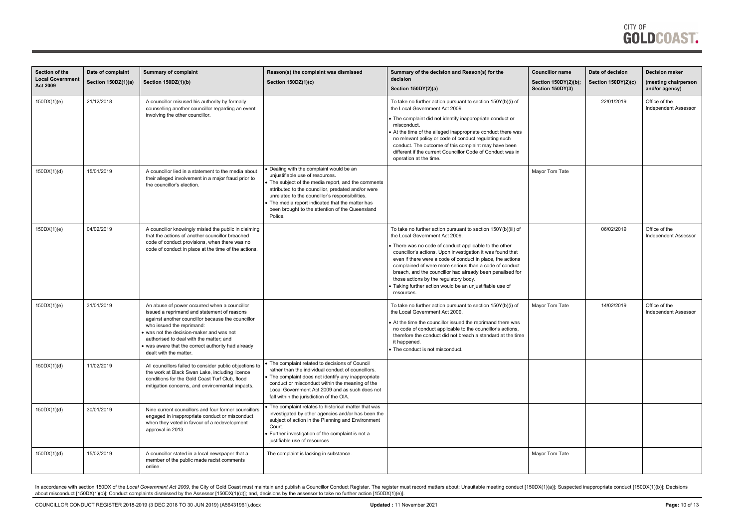| Section of the                            | Date of complaint   | <b>Summary of complaint</b>                                                                                                                                                                                                                                                                                                                        | Reason(s) the complaint was dismissed                                                                                                                                                                                                                                                                                                                   | Summary of the decision and Reason(s) for the                                                                                                                                                                                                                                                                                                                                                                                                                                                                               | <b>Councillor name</b>                   | Date of decision    | <b>Decision maker</b>                        |
|-------------------------------------------|---------------------|----------------------------------------------------------------------------------------------------------------------------------------------------------------------------------------------------------------------------------------------------------------------------------------------------------------------------------------------------|---------------------------------------------------------------------------------------------------------------------------------------------------------------------------------------------------------------------------------------------------------------------------------------------------------------------------------------------------------|-----------------------------------------------------------------------------------------------------------------------------------------------------------------------------------------------------------------------------------------------------------------------------------------------------------------------------------------------------------------------------------------------------------------------------------------------------------------------------------------------------------------------------|------------------------------------------|---------------------|----------------------------------------------|
| <b>Local Governmen</b><br><b>Act 2009</b> | Section 150DZ(1)(a) | Section 150DZ(1)(b)                                                                                                                                                                                                                                                                                                                                | Section 150DZ(1)(c)                                                                                                                                                                                                                                                                                                                                     | decision<br>Section 150DY(2)(a)                                                                                                                                                                                                                                                                                                                                                                                                                                                                                             | Section 150DY(2)(b);<br>Section 150DY(3) | Section 150DY(2)(c) | (meeting chairperson<br>and/or agency)       |
| 150DX(1)(e)                               | 21/12/2018          | A councillor misused his authority by formally<br>counselling another councillor regarding an event<br>involving the other councillor.                                                                                                                                                                                                             |                                                                                                                                                                                                                                                                                                                                                         | To take no further action pursuant to section 150Y(b)(i) of<br>the Local Government Act 2009.<br>• The complaint did not identify inappropriate conduct or<br>misconduct.<br>At the time of the alleged inappropriate conduct there was<br>no relevant policy or code of conduct regulating such<br>conduct. The outcome of this complaint may have been<br>different if the current Councillor Code of Conduct was in<br>operation at the time.                                                                            |                                          | 22/01/2019          | Office of the<br><b>Independent Assessor</b> |
| 150DX(1)(d)                               | 15/01/2019          | A councillor lied in a statement to the media about<br>their alleged involvement in a major fraud prior to<br>the councillor's election.                                                                                                                                                                                                           | Dealing with the complaint would be an<br>unjustifiable use of resources.<br>The subject of the media report, and the comments<br>attributed to the councillor, predated and/or were<br>unrelated to the councillor's responsibilities.<br>The media report indicated that the matter has<br>been brought to the attention of the Queensland<br>Police. |                                                                                                                                                                                                                                                                                                                                                                                                                                                                                                                             | Mayor Tom Tate                           |                     |                                              |
| 150DX(1)(e)                               | 04/02/2019          | A councillor knowingly misled the public in claiming<br>that the actions of another councillor breached<br>code of conduct provisions, when there was no<br>code of conduct in place at the time of the actions.                                                                                                                                   |                                                                                                                                                                                                                                                                                                                                                         | To take no further action pursuant to section 150Y(b)(iii) of<br>the Local Government Act 2009.<br>There was no code of conduct applicable to the other<br>councillor's actions. Upon investigation it was found that<br>even if there were a code of conduct in place, the actions<br>complained of were more serious than a code of conduct<br>breach, and the councillor had already been penalised for<br>those actions by the regulatory body.<br>Taking further action would be an unjustifiable use of<br>resources. |                                          | 06/02/2019          | Office of the<br><b>Independent Assessor</b> |
| 150DX(1)(e)                               | 31/01/2019          | An abuse of power occurred when a councillor<br>issued a reprimand and statement of reasons<br>against another councillor because the councillor<br>who issued the reprimand:<br>was not the decision-maker and was not<br>authorised to deal with the matter; and<br>• was aware that the correct authority had already<br>dealt with the matter. |                                                                                                                                                                                                                                                                                                                                                         | To take no further action pursuant to section 150Y(b)(i) of<br>the Local Government Act 2009.<br>• At the time the councillor issued the reprimand there was<br>no code of conduct applicable to the councillor's actions,<br>therefore the conduct did not breach a standard at the time<br>it happened.<br>• The conduct is not misconduct.                                                                                                                                                                               | Mayor Tom Tate                           | 14/02/2019          | Office of the<br><b>Independent Assessor</b> |
| 150DX(1)(d)                               | 11/02/2019          | All councillors failed to consider public objections to<br>the work at Black Swan Lake, including licence<br>conditions for the Gold Coast Turf Club, flood<br>mitigation concerns, and environmental impacts.                                                                                                                                     | • The complaint related to decisions of Council<br>rather than the individual conduct of councillors.<br>The complaint does not identify any inappropriate<br>conduct or misconduct within the meaning of the<br>Local Government Act 2009 and as such does not<br>fall within the jurisdiction of the OIA.                                             |                                                                                                                                                                                                                                                                                                                                                                                                                                                                                                                             |                                          |                     |                                              |
| 150DX(1)(d)                               | 30/01/2019          | Nine current councillors and four former councillors<br>engaged in inappropriate conduct or misconduct<br>when they voted in favour of a redevelopment<br>approval in 2013.                                                                                                                                                                        | The complaint relates to historical matter that was<br>investigated by other agencies and/or has been the<br>subject of action in the Planning and Environment<br>Court.<br>Further investigation of the complaint is not a<br>justifiable use of resources.                                                                                            |                                                                                                                                                                                                                                                                                                                                                                                                                                                                                                                             |                                          |                     |                                              |
| 150DX(1)(d)                               | 15/02/2019          | A councillor stated in a local newspaper that a<br>member of the public made racist comments<br>online.                                                                                                                                                                                                                                            | The complaint is lacking in substance.                                                                                                                                                                                                                                                                                                                  |                                                                                                                                                                                                                                                                                                                                                                                                                                                                                                                             | Mayor Tom Tate                           |                     |                                              |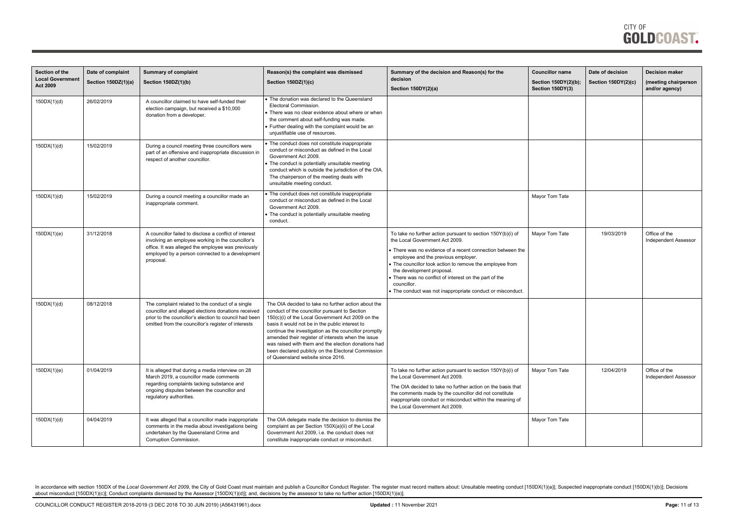| Section of the<br><b>Local Government</b><br>Act 2009 | Date of complaint<br>Section 150DZ(1)(a) | <b>Summary of complaint</b><br>Section 150DZ(1)(b)                                                                                                                                                                                | Reason(s) the complaint was dismissed<br>Section 150DZ(1)(c)                                                                                                                                                                                                                                                                                                                                                                                                                  | Summary of the decision and Reason(s) for the<br>decision<br>Section 150DY(2)(a)                                                                                                                                                                                                                                                                                                                                                   | <b>Councillor name</b><br>Section 150DY(2)(b);<br>Section 150DY(3) | Date of decision<br>Section 150DY(2)(c) | <b>Decision maker</b><br>(meeting chairperson<br>and/or agency) |
|-------------------------------------------------------|------------------------------------------|-----------------------------------------------------------------------------------------------------------------------------------------------------------------------------------------------------------------------------------|-------------------------------------------------------------------------------------------------------------------------------------------------------------------------------------------------------------------------------------------------------------------------------------------------------------------------------------------------------------------------------------------------------------------------------------------------------------------------------|------------------------------------------------------------------------------------------------------------------------------------------------------------------------------------------------------------------------------------------------------------------------------------------------------------------------------------------------------------------------------------------------------------------------------------|--------------------------------------------------------------------|-----------------------------------------|-----------------------------------------------------------------|
| 150DX(1)(d)                                           | 26/02/2019                               | A councillor claimed to have self-funded their<br>election campaign, but received a \$10,000<br>donation from a developer.                                                                                                        | • The donation was declared to the Queensland<br>Electoral Commission.<br>There was no clear evidence about where or when<br>the comment about self-funding was made.<br>Further dealing with the complaint would be an<br>unjustifiable use of resources.                                                                                                                                                                                                                    |                                                                                                                                                                                                                                                                                                                                                                                                                                    |                                                                    |                                         |                                                                 |
| 150DX(1)(d)                                           | 15/02/2019                               | During a council meeting three councillors were<br>part of an offensive and inappropriate discussion in<br>respect of another councillor.                                                                                         | The conduct does not constitute inappropriate<br>conduct or misconduct as defined in the Local<br>Government Act 2009.<br>The conduct is potentially unsuitable meeting<br>conduct which is outside the jurisdiction of the OIA.<br>The chairperson of the meeting deals with<br>unsuitable meeting conduct.                                                                                                                                                                  |                                                                                                                                                                                                                                                                                                                                                                                                                                    |                                                                    |                                         |                                                                 |
| 150DX(1)(d)                                           | 15/02/2019                               | During a council meeting a councillor made an<br>inappropriate comment.                                                                                                                                                           | The conduct does not constitute inappropriate<br>conduct or misconduct as defined in the Local<br>Government Act 2009.<br>The conduct is potentially unsuitable meeting<br>conduct.                                                                                                                                                                                                                                                                                           |                                                                                                                                                                                                                                                                                                                                                                                                                                    | Mayor Tom Tate                                                     |                                         |                                                                 |
| 150DX(1)(e)                                           | 31/12/2018                               | A councillor failed to disclose a conflict of interest<br>involving an employee working in the councillor's<br>office. It was alleged the employee was previously<br>employed by a person connected to a development<br>proposal. |                                                                                                                                                                                                                                                                                                                                                                                                                                                                               | To take no further action pursuant to section 150Y(b)(i) of<br>the Local Government Act 2009.<br>• There was no evidence of a recent connection between the<br>employee and the previous employer.<br>• The councillor took action to remove the employee from<br>the development proposal.<br>• There was no conflict of interest on the part of the<br>councillor.<br>• The conduct was not inappropriate conduct or misconduct. | Mayor Tom Tate                                                     | 19/03/2019                              | Office of the<br><b>Independent Assessor</b>                    |
| 150DX(1)(d)                                           | 08/12/2018                               | The complaint related to the conduct of a single<br>councillor and alleged elections donations received<br>prior to the councillor's election to council had been<br>omitted from the councillor's register of interests          | The OIA decided to take no further action about the<br>conduct of the councillor pursuant to Section<br>150(c)(i) of the Local Government Act 2009 on the<br>basis it would not be in the public interest to<br>continue the investigation as the councillor promptly<br>amended their register of interests when the issue<br>was raised with them and the election donations had<br>been declared publicly on the Electoral Commission<br>of Queensland website since 2016. |                                                                                                                                                                                                                                                                                                                                                                                                                                    |                                                                    |                                         |                                                                 |
| 150DX(1)(e)                                           | 01/04/2019                               | It is alleged that during a media interview on 28<br>March 2019, a councillor made comments<br>regarding complaints lacking substance and<br>ongoing disputes between the councillor and<br>regulatory authorities.               |                                                                                                                                                                                                                                                                                                                                                                                                                                                                               | To take no further action pursuant to section 150Y(b)(i) of<br>the Local Government Act 2009.<br>The OIA decided to take no further action on the basis that<br>the comments made by the councillor did not constitute<br>inappropriate conduct or misconduct within the meaning of<br>the Local Government Act 2009.                                                                                                              | Mayor Tom Tate                                                     | 12/04/2019                              | Office of the<br><b>Independent Assessor</b>                    |
| 150DX(1)(d)                                           | 04/04/2019                               | It was alleged that a councillor made inappropriate<br>comments in the media about investigations being<br>undertaken by the Queensland Crime and<br>Corruption Commission.                                                       | The OIA delegate made the decision to dismiss the<br>complaint as per Section 150X(a)(ii) of the Local<br>Government Act 2009, i.e. the conduct does not<br>constitute inappropriate conduct or misconduct.                                                                                                                                                                                                                                                                   |                                                                                                                                                                                                                                                                                                                                                                                                                                    | Mayor Tom Tate                                                     |                                         |                                                                 |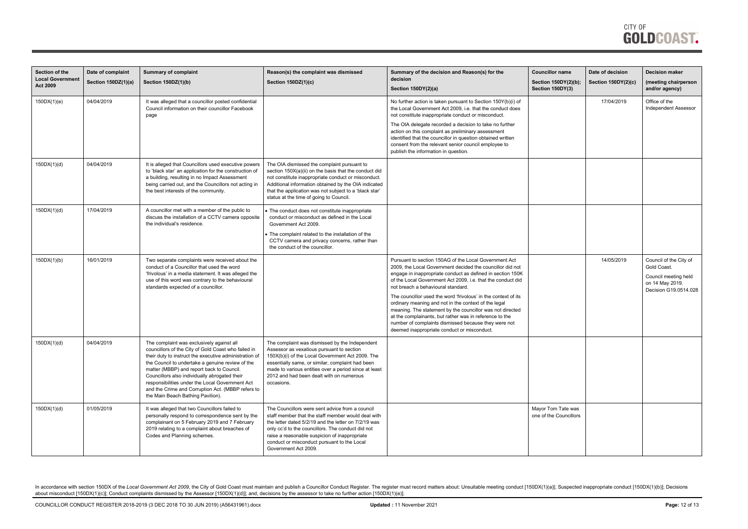| Section of the<br><b>Local Government</b> | Date of complaint<br>Section 150DZ(1)(a) | <b>Summary of complaint</b><br>Section 150DZ(1)(b)                                                                                                                                                                                                                                                                                                                                                                                                        | Reason(s) the complaint was dismissed<br>Section 150DZ(1)(c)                                                                                                                                                                                                                                                                               | Summary of the decision and Reason(s) for the<br>decision                                                                                                                                                                                                                                                                                               | <b>Councillor name</b><br>Section 150DY(2)(b); | Date of decision<br><b>Section 150DY(2)(c)</b> | <b>Decision maker</b><br>(meeting chairperson                                                             |
|-------------------------------------------|------------------------------------------|-----------------------------------------------------------------------------------------------------------------------------------------------------------------------------------------------------------------------------------------------------------------------------------------------------------------------------------------------------------------------------------------------------------------------------------------------------------|--------------------------------------------------------------------------------------------------------------------------------------------------------------------------------------------------------------------------------------------------------------------------------------------------------------------------------------------|---------------------------------------------------------------------------------------------------------------------------------------------------------------------------------------------------------------------------------------------------------------------------------------------------------------------------------------------------------|------------------------------------------------|------------------------------------------------|-----------------------------------------------------------------------------------------------------------|
| <b>Act 2009</b>                           |                                          |                                                                                                                                                                                                                                                                                                                                                                                                                                                           |                                                                                                                                                                                                                                                                                                                                            | Section 150DY(2)(a)                                                                                                                                                                                                                                                                                                                                     | Section 150DY(3)                               |                                                | and/or agency)                                                                                            |
| 150DX(1)(e)                               | 04/04/2019                               | It was alleged that a councillor posted confidential<br>Council information on their councillor Facebook<br>page                                                                                                                                                                                                                                                                                                                                          |                                                                                                                                                                                                                                                                                                                                            | No further action is taken pursuant to Section 150Y(b)(i) of<br>the Local Government Act 2009, i.e. that the conduct does<br>not constitute inappropriate conduct or misconduct.                                                                                                                                                                        |                                                | 17/04/2019                                     | Office of the<br><b>Independent Assessor</b>                                                              |
|                                           |                                          |                                                                                                                                                                                                                                                                                                                                                                                                                                                           |                                                                                                                                                                                                                                                                                                                                            | The OIA delegate recorded a decision to take no further<br>action on this complaint as preliminary assessment<br>identified that the councillor in question obtained written<br>consent from the relevant senior council employee to<br>publish the information in question.                                                                            |                                                |                                                |                                                                                                           |
| 150DX(1)(d)                               | 04/04/2019                               | It is alleged that Councillors used executive powers<br>to 'black star' an application for the construction of<br>a building, resulting in no Impact Assessment<br>being carried out, and the Councillors not acting in<br>the best interests of the community.                                                                                                                                                                                           | The OIA dismissed the complaint pursuant to<br>section 150X(a)(ii) on the basis that the conduct did<br>not constitute inappropriate conduct or misconduct.<br>Additional information obtained by the OIA indicated<br>that the application was not subject to a 'black star'<br>status at the time of going to Council.                   |                                                                                                                                                                                                                                                                                                                                                         |                                                |                                                |                                                                                                           |
| 150DX(1)(d)                               | 17/04/2019                               | A councillor met with a member of the public to<br>discuss the installation of a CCTV camera opposite<br>the individual's residence.                                                                                                                                                                                                                                                                                                                      | The conduct does not constitute inappropriate<br>conduct or misconduct as defined in the Local<br>Government Act 2009.                                                                                                                                                                                                                     |                                                                                                                                                                                                                                                                                                                                                         |                                                |                                                |                                                                                                           |
|                                           |                                          |                                                                                                                                                                                                                                                                                                                                                                                                                                                           | The complaint related to the installation of the<br>CCTV camera and privacy concerns, rather than<br>the conduct of the councillor.                                                                                                                                                                                                        |                                                                                                                                                                                                                                                                                                                                                         |                                                |                                                |                                                                                                           |
| 150DX(1)(b)                               | 16/01/2019                               | Two separate complaints were received about the<br>conduct of a Councillor that used the word<br>'frivolous' in a media statement. It was alleged the<br>use of this word was contrary to the behavioural<br>standards expected of a councillor.                                                                                                                                                                                                          |                                                                                                                                                                                                                                                                                                                                            | Pursuant to section 150AG of the Local Government Act<br>2009, the Local Government decided the councillor did not<br>engage in inappropriate conduct as defined in section 150K<br>of the Local Government Act 2009, i.e. that the conduct did<br>not breach a behavioural standard.<br>The councillor used the word 'frivolous' in the context of its |                                                | 14/05/2019                                     | Council of the City of<br>Gold Coast.<br>Council meeting held<br>on 14 May 2019.<br>Decision G19.0514.028 |
|                                           |                                          |                                                                                                                                                                                                                                                                                                                                                                                                                                                           |                                                                                                                                                                                                                                                                                                                                            | ordinary meaning and not in the context of the legal<br>meaning. The statement by the councillor was not directed<br>at the complainants, but rather was in reference to the<br>number of complaints dismissed because they were not<br>deemed inappropriate conduct or misconduct.                                                                     |                                                |                                                |                                                                                                           |
| 150DX(1)(d)                               | 04/04/2019                               | The complaint was exclusively against all<br>councillors of the City of Gold Coast who failed in<br>their duty to instruct the executive administration of<br>the Council to undertake a genuine review of the<br>matter (MBBP) and report back to Council.<br>Councillors also individually abrogated their<br>responsibilities under the Local Government Act<br>and the Crime and Corruption Act. (MBBP refers to<br>the Main Beach Bathing Pavilion). | The complaint was dismissed by the Independent<br>Assessor as vexatious pursuant to section<br>150X(b)(i) of the Local Government Act 2009. The<br>essentially same, or similar, complaint had been<br>made to various entities over a period since at least<br>2012 and had been dealt with on numerous<br>occasions.                     |                                                                                                                                                                                                                                                                                                                                                         |                                                |                                                |                                                                                                           |
| 150DX(1)(d)                               | 01/05/2019                               | It was alleged that two Councillors failed to<br>personally respond to correspondence sent by the<br>complainant on 5 February 2019 and 7 February<br>2019 relating to a complaint about breaches of<br>Codes and Planning schemes.                                                                                                                                                                                                                       | The Councillors were sent advice from a council<br>staff member that the staff member would deal with<br>the letter dated 5/2/19 and the letter on 7/2/19 was<br>only cc'd to the councillors. The conduct did not<br>raise a reasonable suspicion of inappropriate<br>conduct or misconduct pursuant to the Local<br>Government Act 2009. |                                                                                                                                                                                                                                                                                                                                                         | Mayor Tom Tate was<br>one of the Councillors   |                                                |                                                                                                           |